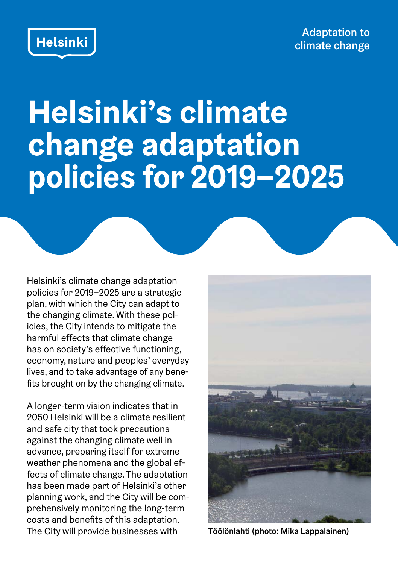Adaptation to climate change



## **Helsinki's climate change adaptation policies for 2019–2025**

Helsinki's climate change adaptation policies for 2019–2025 are a strategic plan, with which the City can adapt to the changing climate. With these policies, the City intends to mitigate the harmful effects that climate change has on society's effective functioning, economy, nature and peoples' everyday lives, and to take advantage of any benefits brought on by the changing climate.

A longer-term vision indicates that in 2050 Helsinki will be a climate resilient and safe city that took precautions against the changing climate well in advance, preparing itself for extreme weather phenomena and the global effects of climate change. The adaptation has been made part of Helsinki's other planning work, and the City will be comprehensively monitoring the long-term costs and benefits of this adaptation. The City will provide businesses with Töölönlahti (photo: Mika Lappalainen)